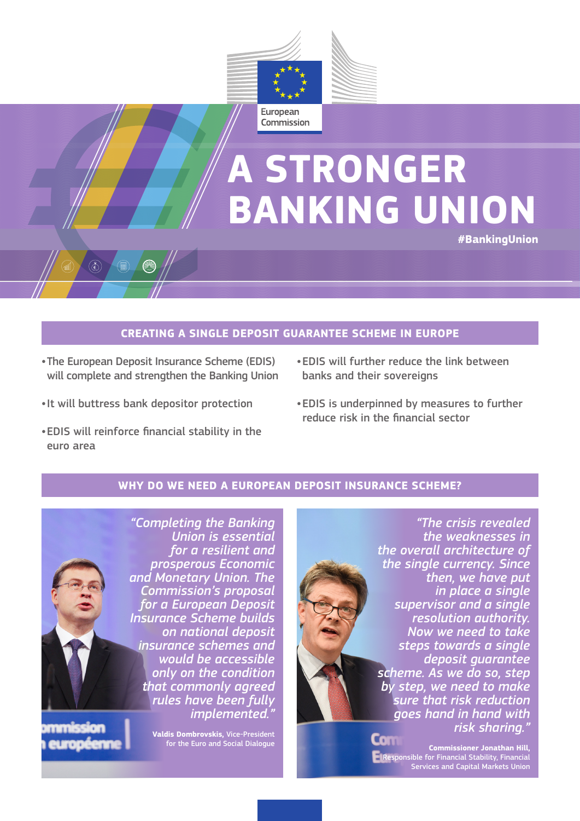

# **A STRONGER BANKING UNION #BankingUnion**

#### **CREATING A SINGLE DEPOSIT GUARANTEE SCHEME IN EUROPE**

- •The European Deposit Insurance Scheme (EDIS) will complete and strengthen the Banking Union
- •It will buttress bank depositor protection
- •EDIS will reinforce financial stability in the euro area
- •EDIS will further reduce the link between banks and their sovereigns
- •EDIS is underpinned by measures to further reduce risk in the financial sector

#### **WHY DO WE NEED A EUROPEAN DEPOSIT INSURANCE SCHEME?**



europe

*implemented."* **Valdis Dombrovskis,** Vice-President for the Euro and Social Dialogue



**Commissioner Jonathan Hill,**  Responsible for Financial Stability, Financial Services and Capital Markets Union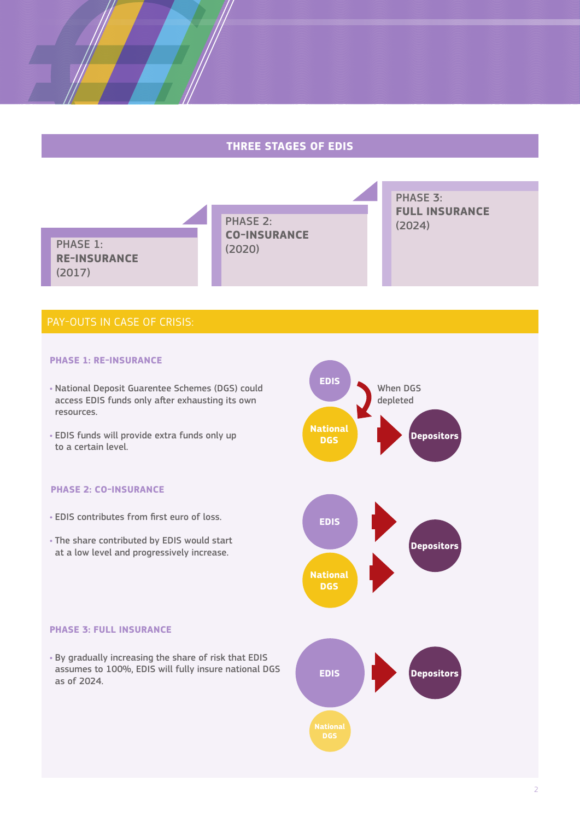### **THREE STAGES OF EDIS**



at a low level and progressively increase.

#### **PHASE 3: FULL INSURANCE**

• By gradually increasing the share of risk that EDIS assumes to 100%, EDIS will fully insure national DGS as of 2024.

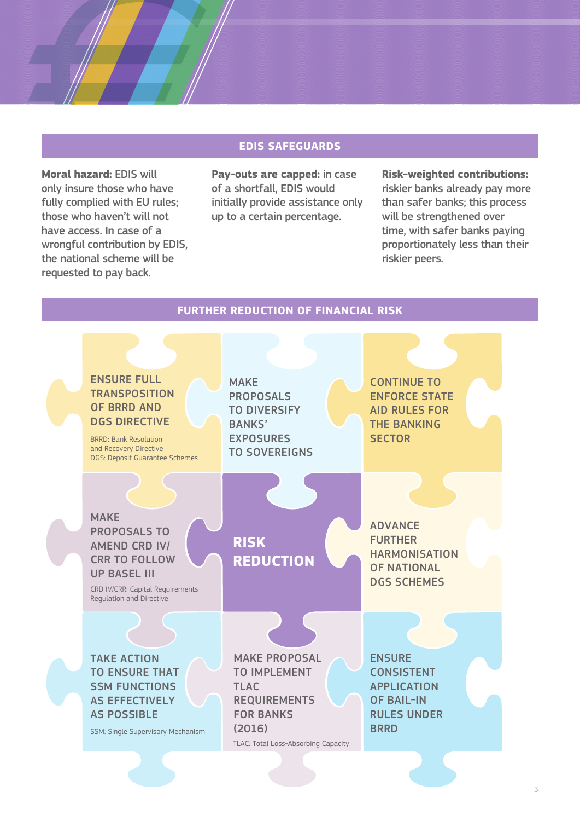#### **EDIS SAFEGUARDS**

**Moral hazard:** EDIS will only insure those who have fully complied with EU rules; those who haven't will not have access. In case of a wrongful contribution by EDIS, the national scheme will be requested to pay back.

**Pay-outs are capped:** in case of a shortfall, EDIS would initially provide assistance only up to a certain percentage.

**Risk-weighted contributions:**  riskier banks already pay more than safer banks; this process will be strengthened over time, with safer banks paying proportionately less than their riskier peers.